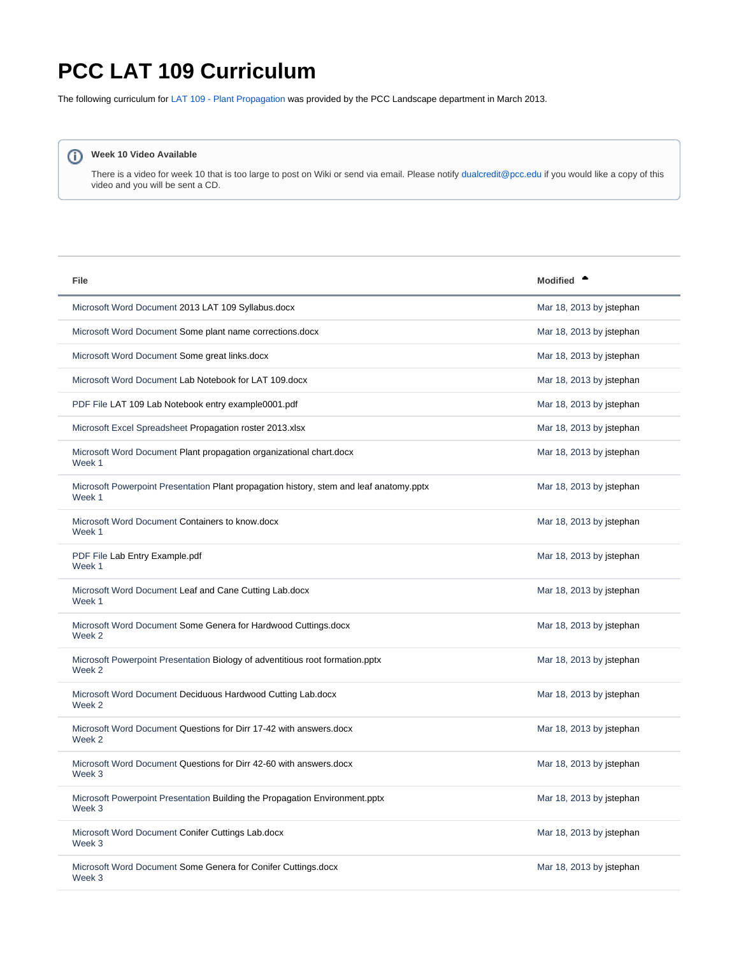## <span id="page-0-0"></span>**PCC LAT 109 Curriculum**

The following curriculum for [LAT 109 - Plant Propagation](http://www.pcc.edu/ccog/default.cfm?fa=ccog&subject=LAT&course=109) was provided by the PCC Landscape department in March 2013.

## **Week 10 Video Available**

There is a video for week 10 that is too large to post on Wiki or send via email. Please notify [dualcredit@pcc.edu](mailto:dualcredit@pcc.edu) if you would like a copy of this video and you will be sent a CD.

| <b>File</b>                                                                                       | Modified <sup>•</sup>    |
|---------------------------------------------------------------------------------------------------|--------------------------|
| Microsoft Word Document 2013 LAT 109 Syllabus.docx                                                | Mar 18, 2013 by jstephan |
| Microsoft Word Document Some plant name corrections.docx                                          | Mar 18, 2013 by istephan |
| Microsoft Word Document Some great links.docx                                                     | Mar 18, 2013 by jstephan |
| Microsoft Word Document Lab Notebook for LAT 109.docx                                             | Mar 18, 2013 by jstephan |
| PDF File LAT 109 Lab Notebook entry example0001.pdf                                               | Mar 18, 2013 by jstephan |
| Microsoft Excel Spreadsheet Propagation roster 2013.xlsx                                          | Mar 18, 2013 by jstephan |
| Microsoft Word Document Plant propagation organizational chart.docx<br>Week 1                     | Mar 18, 2013 by jstephan |
| Microsoft Powerpoint Presentation Plant propagation history, stem and leaf anatomy.pptx<br>Week 1 | Mar 18, 2013 by istephan |
| Microsoft Word Document Containers to know.docx<br>Week 1                                         | Mar 18, 2013 by jstephan |
| PDF File Lab Entry Example.pdf<br>Week 1                                                          | Mar 18, 2013 by istephan |
| Microsoft Word Document Leaf and Cane Cutting Lab.docx<br>Week 1                                  | Mar 18, 2013 by jstephan |
| Microsoft Word Document Some Genera for Hardwood Cuttings.docx<br>Week 2                          | Mar 18, 2013 by jstephan |
| Microsoft Powerpoint Presentation Biology of adventitious root formation.pptx<br>Week 2           | Mar 18, 2013 by jstephan |
| Microsoft Word Document Deciduous Hardwood Cutting Lab.docx<br>Week 2                             | Mar 18, 2013 by jstephan |
| Microsoft Word Document Questions for Dirr 17-42 with answers.docx<br>Week 2                      | Mar 18, 2013 by jstephan |
| Microsoft Word Document Questions for Dirr 42-60 with answers.docx<br>Week 3                      | Mar 18, 2013 by istephan |
| Microsoft Powerpoint Presentation Building the Propagation Environment.pptx<br>Week 3             | Mar 18, 2013 by jstephan |
| Microsoft Word Document Conifer Cuttings Lab.docx<br>Week 3                                       | Mar 18, 2013 by jstephan |
| Microsoft Word Document Some Genera for Conifer Cuttings.docx<br>Week 3                           | Mar 18, 2013 by jstephan |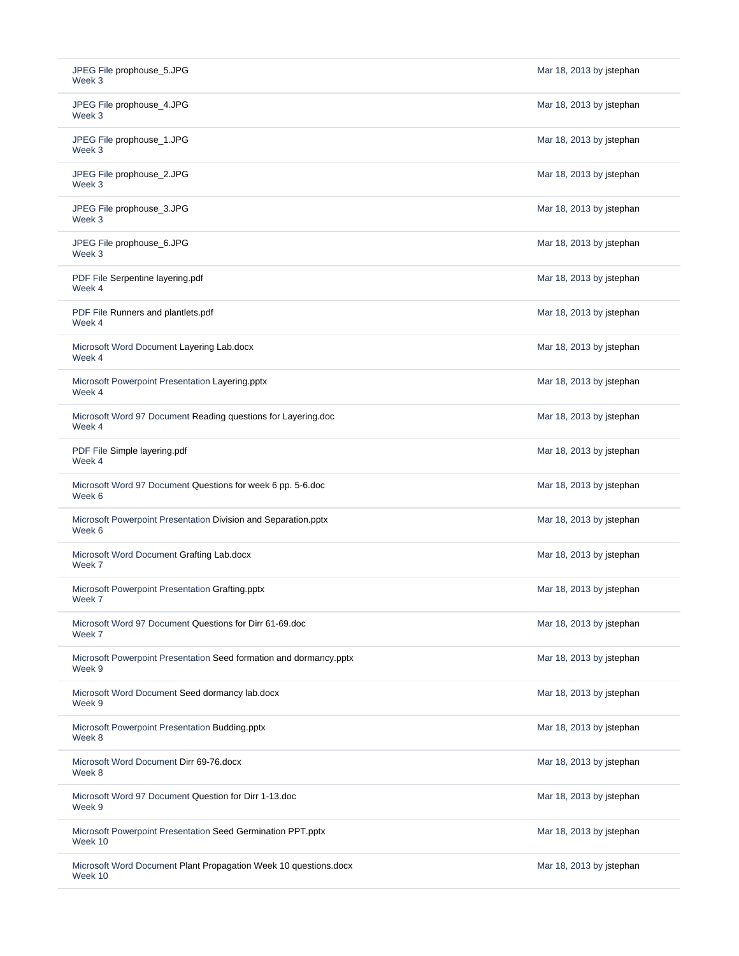| JPEG File prophouse_5.JPG<br>Week 3                                          | Mar 18, 2013 by jstephan |
|------------------------------------------------------------------------------|--------------------------|
| JPEG File prophouse_4.JPG<br>Week 3                                          | Mar 18, 2013 by jstephan |
| JPEG File prophouse_1.JPG<br>Week 3                                          | Mar 18, 2013 by jstephan |
| JPEG File prophouse_2.JPG<br>Week 3                                          | Mar 18, 2013 by jstephan |
| JPEG File prophouse_3.JPG<br>Week 3                                          | Mar 18, 2013 by jstephan |
| JPEG File prophouse_6.JPG<br>Week 3                                          | Mar 18, 2013 by jstephan |
| PDF File Serpentine layering.pdf<br>Week 4                                   | Mar 18, 2013 by jstephan |
| PDF File Runners and plantlets.pdf<br>Week 4                                 | Mar 18, 2013 by jstephan |
| Microsoft Word Document Layering Lab.docx<br>Week 4                          | Mar 18, 2013 by jstephan |
| Microsoft Powerpoint Presentation Layering.pptx<br>Week 4                    | Mar 18, 2013 by jstephan |
| Microsoft Word 97 Document Reading questions for Layering.doc<br>Week 4      | Mar 18, 2013 by jstephan |
| PDF File Simple layering.pdf<br>Week 4                                       | Mar 18, 2013 by jstephan |
| Microsoft Word 97 Document Questions for week 6 pp. 5-6.doc<br>Week 6        | Mar 18, 2013 by jstephan |
| Microsoft Powerpoint Presentation Division and Separation.pptx<br>Week 6     | Mar 18, 2013 by jstephan |
| Microsoft Word Document Grafting Lab.docx<br>Week 7                          | Mar 18, 2013 by jstephan |
| Microsoft Powerpoint Presentation Grafting.pptx<br>Week 7                    | Mar 18, 2013 by jstephan |
| Microsoft Word 97 Document Questions for Dirr 61-69.doc<br>Week 7            | Mar 18, 2013 by jstephan |
| Microsoft Powerpoint Presentation Seed formation and dormancy.pptx<br>Week 9 | Mar 18, 2013 by jstephan |
| Microsoft Word Document Seed dormancy lab.docx<br>Week 9                     | Mar 18, 2013 by jstephan |
| Microsoft Powerpoint Presentation Budding.pptx<br>Week 8                     | Mar 18, 2013 by jstephan |
| Microsoft Word Document Dirr 69-76.docx<br>Week 8                            | Mar 18, 2013 by jstephan |
| Microsoft Word 97 Document Question for Dirr 1-13.doc<br>Week 9              | Mar 18, 2013 by jstephan |
| Microsoft Powerpoint Presentation Seed Germination PPT.pptx<br>Week 10       | Mar 18, 2013 by jstephan |
| Microsoft Word Document Plant Propagation Week 10 questions.docx<br>Week 10  | Mar 18, 2013 by jstephan |